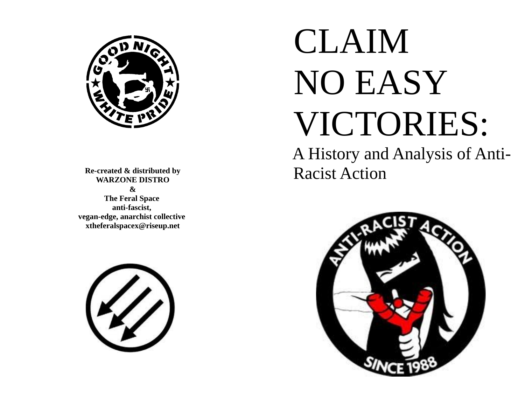

**Re-created & distributed by WARZONE DISTRO & The Feral Space anti-fascist, vegan-edge, anarchist collective xtheferalspacex@riseup.net**



# CLAIM NO EASY VICTORIES:

 A History and Analysis of Anti- Racist Action

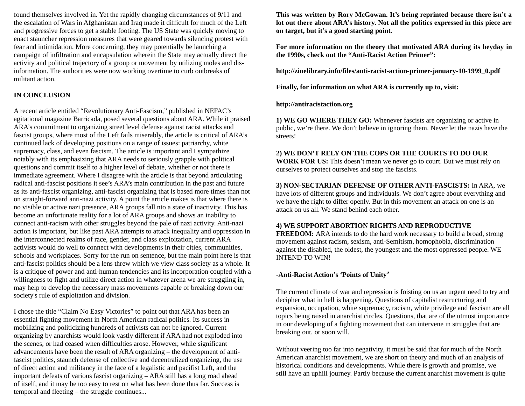found themselves involved in. Yet the rapidly changing circumstances of 9/11 and the escalation of Wars in Afghanistan and Iraq made it difficult for much of the Left and progressive forces to get a stable footing. The US State was quickly moving to enact stauncher repression measures that were geared towards silencing protest with fear and intimidation. More concerning, they may potentially be launching a campaign of infiltration and encapsulation wherein the State may actually direct the activity and political trajectory of a group or movement by utilizing moles and disinformation. The authorities were now working overtime to curb outbreaks of militant action.

## **IN CONCLUSION**

A recent article entitled "Revolutionary Anti-Fascism," published in NEFAC's agitational magazine Barricada, posed several questions about ARA. While it praised ARA's commitment to organizing street level defense against racist attacks and fascist groups, where most of the Left fails miserably, the article is critical of ARA's continued lack of developing positions on a range of issues: patriarchy, white supremacy, class, and even fascism. The article is important and I sympathize notably with its emphasizing that ARA needs to seriously grapple with political questions and commit itself to a higher level of debate, whether or not there is immediate agreement. Where I disagree with the article is that beyond articulating radical anti-fascist positions it see's ARA's main contribution in the past and future as its anti-fascist organizing, anti-fascist organizing that is based more times than not on straight-forward anti-nazi activity. A point the article makes is that where there is no visible or active nazi presence, ARA groups fall nto a state of inactivity. This has become an unfortunate reality for a lot of ARA groups and shows an inability to connect anti-racism with other struggles beyond the pale of nazi activity. Anti-nazi action is important, but like past ARA attempts to attack inequality and oppression in the interconnected realms of race, gender, and class exploitation, current ARA activists would do well to connect with developments in their cities, communities, schools and workplaces. Sorry for the run on sentence, but the main point here is that anti-fascist politics should be a lens threw which we view class society as a whole. It is a critique of power and anti-human tendencies and its incorporation coupled with a willingness to fight and utilize direct action in whatever arena we are struggling in, may help to develop the necessary mass movements capable of breaking down our society's rule of exploitation and division.

I chose the title "Claim No Easy Victories" to point out that ARA has been an essential fighting movement in North American radical politics. Its success in mobilizing and politicizing hundreds of activists can not be ignored. Current organizing by anarchists would look vastly different if ARA had not exploded into the scenes, or had ceased when difficulties arose. However, while significant advancements have been the result of ARA organizing – the development of antifascist politics, staunch defense of collective and decentralized organizing, the use of direct action and militancy in the face of a legalistic and pacifist Left, and the important defeats of various fascist organizing – ARA still has a long road ahead of itself, and it may be too easy to rest on what has been done thus far. Success is temporal and fleeting – the struggle continues...

**This was written by Rory McGowan. It's being reprinted because there isn't a lot out there about ARA's history. Not all the politics expressed in this piece are on target, but it's a good starting point.**

**For more information on the theory that motivated ARA during its heyday in the 1990s, check out the "Anti-Racist Action Primer":** 

**http://zinelibrary.info/files/anti-racist-action-primer-january-10-1999\_0.pdf** 

**Finally, for information on what ARA is currently up to, visit:** 

## **[http://antiracistaction.org](http://antiracistaction.org/)**

**1) WE GO WHERE THEY GO:** Whenever fascists are organizing or active in public, we're there. We don't believe in ignoring them. Never let the nazis have the streets!

# **2) WE DON'T RELY ON THE COPS OR THE COURTS TO DO OUR**

**WORK FOR US:** This doesn't mean we never go to court. But we must rely on ourselves to protect ourselves and stop the fascists.

**3) NON-SECTARIAN DEFENSE OF OTHER ANTI-FASCISTS:** In ARA, we have lots of different groups and individuals. We don't agree about everything and we have the right to differ openly. But in this movement an attack on one is an attack on us all. We stand behind each other.

## **4) WE SUPPORT ABORTION RIGHTS AND REPRODUCTIVE**

**FREEDOM:** ARA intends to do the hard work necessary to build a broad, strong movement against racism, sexism, anti-Semitism, homophobia, discrimination against the disabled, the oldest, the youngest and the most oppressed people. WE INTEND TO WIN!

## **-Anti-Racist Action's 'Points of Unity'**

The current climate of war and repression is foisting on us an urgent need to try and decipher what in hell is happening. Questions of capitalist restructuring and expansion, occupation, white supremacy, racism, white privilege and fascism are all topics being raised in anarchist circles. Questions, that are of the utmost importance in our developing of a fighting movement that can intervene in struggles that are breaking out, or soon will.

Without veering too far into negativity, it must be said that for much of the North American anarchist movement, we are short on theory and much of an analysis of historical conditions and developments. While there is growth and promise, we still have an uphill journey. Partly because the current anarchist movement is quite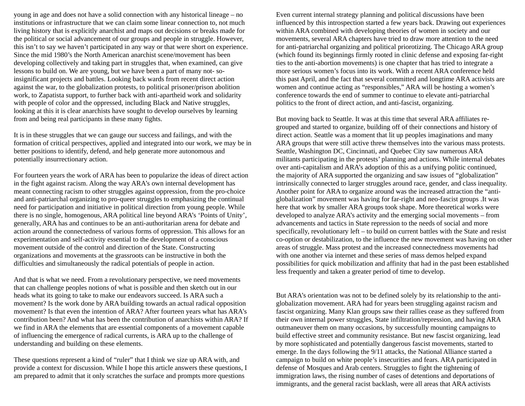young in age and does not have a solid connection with any historical lineage – no institutions or infrastructure that we can claim some linear connection to, not much living history that is explicitly anarchist and maps out decisions or breaks made for the political or social advancement of our groups and people in struggle. However, this isn't to say we haven't participated in any way or that were short on experience. Since the mid 1980's the North American anarchist scene/movement has been developing collectively and taking part in struggles that, when examined, can give lessons to build on. We are young, but we have been a part of many not- soinsignificant projects and battles. Looking back wards from recent direct action against the war, to the globalization protests, to political prisoner/prison abolition work, to Zapatista support, to further back with anti-apartheid work and solidarity with people of color and the oppressed, including Black and Native struggles, looking at this it is clear anarchists have sought to develop ourselves by learning from and being real participants in these many fights.

It is in these struggles that we can gauge our success and failings, and with the formation of critical perspectives, applied and integrated into our work, we may be in better positions to identify, defend, and help generate more autonomous and potentially insurrectionary action.

For fourteen years the work of ARA has been to popularize the ideas of direct action in the fight against racism. Along the way ARA's own internal development has meant connecting racism to other struggles against oppression, from the pro-choice and anti-patriarchal organizing to pro-queer struggles to emphasizing the continual need for participation and initiative in political direction from young people. While there is no single, homogenous, ARA political line beyond ARA's 'Points of Unity', generally, ARA has and continues to be an anti-authoritarian arena for debate and action around the connectedness of various forms of oppression. This allows for an experimentation and self-activity essential to the development of a conscious movement outside of the control and direction of the State. Constructing organizations and movements at the grassroots can be instructive in both the difficulties and simultaneously the radical potentials of people in action.

And that is what we need. From a revolutionary perspective, we need movements that can challenge peoples notions of what is possible and then sketch out in our heads what its going to take to make our endeavors succeed. Is ARA such a movement? Is the work done by ARA building towards an actual radical opposition movement? Is that even the intention of ARA? After fourteen years what has ARA's contribution been? And what has been the contribution of anarchists within ARA? If we find in ARA the elements that are essential components of a movement capable of influencing the emergence of radical currents, is ARA up to the challenge of understanding and building on these elements.

These questions represent a kind of "ruler" that I think we size up ARA with, and provide a context for discussion. While I hope this article answers these questions, I am prepared to admit that it only scratches the surface and prompts more questions

Even current internal strategy planning and political discussions have been influenced by this introspection started a few years back. Drawing out experiences within ARA combined with developing theories of women in society and our movements, several ARA chapters have tried to draw more attention to the need for anti-patriarchal organizing and political priorotizing. The Chicago ARA group (which found its beginnings firmly rooted in clinic defense and exposing far-right ties to the anti-abortion movements) is one chapter that has tried to integrate a more serious women's focus into its work. With a recent ARA conference held this past April, and the fact that several committed and longtime ARA activists are women and continue acting as "responsibles," ARA will be hosting a women's conference towards the end of summer to continue to elevate anti-patriarchal politics to the front of direct action, and anti-fascist, organizing.

But moving back to Seattle. It was at this time that several ARA affiliates regrouped and started to organize, building off of their connections and history of direct action. Seattle was a moment that lit up peoples imaginations and many ARA groups that were still active threw themselves into the various mass protests. Seattle, Washington DC, Cincinnati, and Quebec City saw numerous ARA militants participating in the protests' planning and actions. While internal debates over anti-capitalism and ARA's adoption of this as a unifying politic continued, the majority of ARA supported the organizing and saw issues of "globalization" intrinsically connected to larger struggles around race, gender, and class inequality. Another point for ARA to organize around was the increased attraction the "antiglobalization" movement was having for far-right and neo-fascist groups .It was here that work by smaller ARA groups took shape. More theoretical works were developed to analyze ARA's activity and the emerging social movements – from advancements and tactics in State repression to the needs of social and more specifically, revolutionary left – to build on current battles with the State and resist co-option or destabilization, to the influence the new movement was having on other areas of struggle. Mass protest and the increased connectedness movements had with one another via internet and these series of mass demos helped expand possibilities for quick mobilization and affinity that had in the past been established less frequently and taken a greater period of time to develop.

But ARA's orientation was not to be defined solely by its relationship to the antiglobalization movement. ARA had for years been struggling against racism and fascist organizing. Many Klan groups saw their rallies cease as they suffered from their own internal power struggles, State infiltration/repression, and having ARA outmaneuver them on many occasions, by successfully mounting campaigns to build effective street and community resistance. But new fascist organizing, lead by more sophisticated and potentially dangerous fascist movements, started to emerge. In the days following the 9/11 attacks, the National Alliance started a campaign to build on white people's insecurities and fears. ARA participated in defense of Mosques and Arab centers. Struggles to fight the tightening of immigration laws, the rising number of cases of detentions and deportations of immigrants, and the general racist backlash, were all areas that ARA activists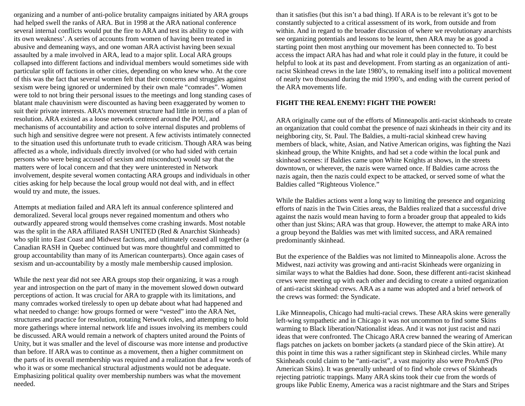organizing and a number of anti-police brutality campaigns initiated by ARA groups had helped swell the ranks of ARA. But in 1998 at the ARA national conference several internal conflicts would put the fire to ARA and test its ability to cope with its own weakness'. A series of accounts from women of having been treated in abusive and demeaning ways, and one woman ARA activist having been sexual assaulted by a male involved in ARA, lead to a major split. Local ARA groups collapsed into different factions and individual members would sometimes side with particular split off factions in other cities, depending on who knew who. At the core of this was the fact that several women felt that their concerns and struggles against sexism were being ignored or undermined by their own male "comrades". Women were told to not bring their personal issues to the meetings and long standing cases of blatant male chauvinism were discounted as having been exaggerated by women to suit their private interests. ARA's movement structure had little in terms of a plan of resolution. ARA existed as a loose network centered around the POU, and mechanisms of accountability and action to solve internal disputes and problems of such high and sensitive degree were not present. A few activists intimately connected to the situation used this unfortunate truth to evade criticism. Though ARA was being affected as a whole, individuals directly involved (or who had sided with certain persons who were being accused of sexism and misconduct) would say that the matters were of local concern and that they were uninterested in Network involvement, despite several women contacting ARA groups and individuals in other cities asking for help because the local group would not deal with, and in effect would try and mute, the issues.

Attempts at mediation failed and ARA left its annual conference splintered and demoralized. Several local groups never regained momentum and others who outwardly appeared strong would themselves come crashing inwards. Most notable was the split in the ARA affiliated RASH UNITED (Red & Anarchist Skinheads) who split into East Coast and Midwest factions, and ultimately ceased all together (a Canadian RASH in Quebec continued but was more thoughtful and committed to group accountability than many of its American counterparts). Once again cases of sexism and un-accountability by a mostly male membership caused implosion.

While the next year did not see ARA groups stop their organizing, it was a rough year and introspection on the part of many in the movement slowed down outward perceptions of action. It was crucial for ARA to grapple with its limitations, and many comrades worked tirelessly to open up debate about what had happened and what needed to change: how groups formed or were "vested" into the ARA Net, structures and practice for resolution, rotating Network roles, and attempting to hold more gatherings where internal network life and issues involving its members could be discussed. ARA would remain a network of chapters united around the Points of Unity, but it was smaller and the level of discourse was more intense and productive than before. If ARA was to continue as a movement, then a higher commitment on the parts of its overall membership was required and a realization that a few words of who it was or some mechanical structural adjustments would not be adequate. Emphasizing political quality over membership numbers was what the movement needed.

than it satisfies (but this isn't a bad thing). If ARA is to be relevant it's got to be constantly subjected to a critical assessment of its work, from outside and from within. And in regard to the broader discussion of where we revolutionary anarchists see organizing potentials and lessons to be learnt, then ARA may be as good a starting point then most anything our movement has been connected to. To best access the impact ARA has had and what role it could play in the future, it could be helpful to look at its past and development. From starting as an organization of antiracist Skinhead crews in the late 1980's, to remaking itself into a political movement of nearly two thousand during the mid 1990's, and ending with the current period of the ARA movements life.

## **FIGHT THE REAL ENEMY! FIGHT THE POWER!**

ARA originally came out of the efforts of Minneapolis anti-racist skinheads to create an organization that could combat the presence of nazi skinheads in their city and its neighboring city, St. Paul. The Baldies, a multi-racial skinhead crew having members of black, white, Asian, and Native American origins, was fighting the Nazi skinhead group, the White Knights, and had set a code within the local punk and skinhead scenes: if Baldies came upon White Knights at shows, in the streets downtown, or wherever, the nazis were warned once. If Baldies came across the nazis again, then the nazis could expect to be attacked, or served some of what the Baldies called "Righteous Violence."

While the Baldies actions went a long way to limiting the presence and organizing efforts of nazis in the Twin Cities areas, the Baldies realized that a successful drive against the nazis would mean having to form a broader group that appealed to kids other than just Skins; ARA was that group. However, the attempt to make ARA into a group beyond the Baldies was met with limited success, and ARA remained predominantly skinhead.

But the experience of the Baldies was not limited to Minneapolis alone. Across the Midwest, nazi activity was growing and anti-racist Skinheads were organizing in similar ways to what the Baldies had done. Soon, these different anti-racist skinhead crews were meeting up with each other and deciding to create a united organization of anti-racist skinhead crews. ARA as a name was adopted and a brief network of the crews was formed: the Syndicate.

Like Minneapolis, Chicago had multi-racial crews. These ARA skins were generally left-wing sympathetic and in Chicago it was not uncommon to find some Skins warming to Black liberation/Nationalist ideas. And it was not just racist and nazi ideas that were confronted. The Chicago ARA crew banned the wearing of American flags patches on jackets on bomber jackets (a standard piece of the Skin attire). At this point in time this was a rather significant step in Skinhead circles. While many Skinheads could claim to be "anti-racist", a vast majority also were ProAmS (Pro American Skins). It was generally unheard of to find whole crews of Skinheads rejecting patriotic trappings. Many ARA skins took their cue from the words of groups like Public Enemy, America was a racist nightmare and the Stars and Stripes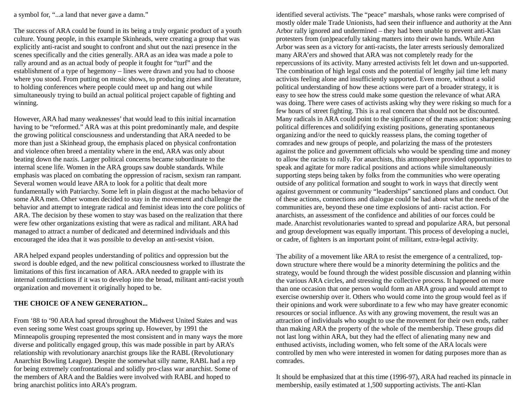a symbol for, "...a land that never gave a damn."

The success of ARA could be found in its being a truly organic product of a youth culture. Young people, in this example Skinheads, were creating a group that was explicitly anti-racist and sought to confront and shut out the nazi presence in the scenes specifically and the cities generally. ARA as an idea was made a pole to rally around and as an actual body of people it fought for "turf" and the establishment of a type of hegemony – lines were drawn and you had to choose where you stood. From putting on music shows, to producing zines and literature, to holding conferences where people could meet up and hang out while simultaneously trying to build an actual political project capable of fighting and winning.

However, ARA had many weaknesses' that would lead to this initial incarnation having to be "reformed." ARA was at this point predominantly male, and despite the growing political consciousness and understanding that ARA needed to be more than just a Skinhead group, the emphasis placed on physical confrontation and violence often breed a mentality where in the end, ARA was only about beating down the nazis. Larger political concerns became subordinate to the internal scene life. Women in the ARA groups saw double standards. While emphasis was placed on combating the oppression of racism, sexism ran rampant. Several women would leave ARA to look for a politic that dealt more fundamentally with Patriarchy. Some left in plain disgust at the macho behavior of some ARA men. Other women decided to stay in the movement and challenge the behavior and attempt to integrate radical and feminist ideas into the core politics of ARA. The decision by these women to stay was based on the realization that there were few other organizations existing that were as radical and militant. ARA had managed to attract a number of dedicated and determined individuals and this encouraged the idea that it was possible to develop an anti-sexist vision.

ARA helped expand peoples understanding of politics and oppression but the sword is double edged, and the new political consciousness worked to illustrate the limitations of this first incarnation of ARA. ARA needed to grapple with its internal contradictions if it was to develop into the broad, militant anti-racist youth organization and movement it originally hoped to be.

## **THE CHOICE OF A NEW GENERATION...**

From '88 to '90 ARA had spread throughout the Midwest United States and was even seeing some West coast groups spring up. However, by 1991 the Minneapolis grouping represented the most consistent and in many ways the more diverse and politically engaged group, this was made possible in part by ARA's relationship with revolutionary anarchist groups like the RABL (Revolutionary Anarchist Bowling League). Despite the somewhat silly name, RABL had a rep for being extremely confrontational and solidly pro-class war anarchist. Some of the members of ARA and the Baldies were involved with RABL and hoped to bring anarchist politics into ARA's program.

identified several activists. The "peace" marshals, whose ranks were comprised of mostly older male Trade Unionists, had seen their influence and authority at the Ann Arbor rally ignored and undermined – they had been unable to prevent anti-Klan protesters from (un)peacefully taking matters into their own hands. While Ann Arbor was seen as a victory for anti-racists, the later arrests seriously demoralized many ARA'ers and showed that ARA was not completely ready for the repercussions of its activity. Many arrested activists felt let down and un-supported. The combination of high legal costs and the potential of lengthy jail time left many activists feeling alone and insufficiently supported. Even more, without a solid political understanding of how these actions were part of a broader strategy, it is easy to see how the stress could make some question the relevance of what ARA was doing. There were cases of activists asking why they were risking so much for a few hours of street fighting. This is a real concern that should not be discounted. Many radicals in ARA could point to the significance of the mass action: sharpening political differences and solidifying existing positions, generating spontaneous organizing and/or the need to quickly reassess plans, the coming together of comrades and new groups of people, and polarizing the mass of the protesters against the police and government officials who would be spending time and money to allow the racists to rally. For anarchists, this atmosphere provided opportunities to speak and agitate for more radical positions and actions while simultaneously supporting steps being taken by folks from the communities who were operating outside of any political formation and sought to work in ways that directly went against government or community "leaderships" sanctioned plans and conduct. Out of these actions, connections and dialogue could be had about what the needs of the communities are, beyond these one time explosions of anti- racist action. For anarchists, an assessment of the confidence and abilities of our forces could be made. Anarchist revolutionaries wanted to spread and popularize ARA, but personal and group development was equally important. This process of developing a nuclei, or cadre, of fighters is an important point of militant, extra-legal activity.

The ability of a movement like ARA to resist the emergence of a centralized, topdown structure where there would be a minority determining the politics and the strategy, would be found through the widest possible discussion and planning within the various ARA circles, and stressing the collective process. It happened on more than one occasion that one person would form an ARA group and would attempt to exercise ownership over it. Others who would come into the group would feel as if their opinions and work were subordinate to a few who may have greater economic resources or social influence. As with any growing movement, the result was an attraction of individuals who sought to use the movement for their own ends, rather than making ARA the property of the whole of the membership. These groups did not last long within ARA, but they had the effect of alienating many new and enthused activists, including women, who felt some of the ARA locals were controlled by men who were interested in women for dating purposes more than as comrades.

It should be emphasized that at this time (1996-97), ARA had reached its pinnacle in membership, easily estimated at 1,500 supporting activists. The anti-Klan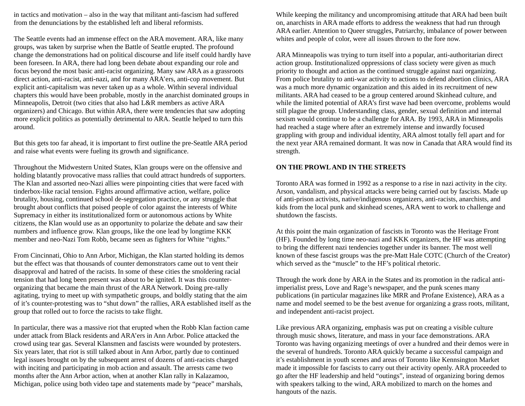in tactics and motivation – also in the way that militant anti-fascism had suffered from the denunciations by the established left and liberal reformists.

The Seattle events had an immense effect on the ARA movement. ARA, like many groups, was taken by surprise when the Battle of Seattle erupted. The profound change the demonstrations had on political discourse and life itself could hardly have been foreseen. In ARA, there had long been debate about expanding our role and focus beyond the most basic anti-racist organizing. Many saw ARA as a grassroots direct action, anti-racist, anti-nazi, and for many ARA'ers, anti-cop movement. But explicit anti-capitalism was never taken up as a whole. Within several individual chapters this would have been probable, mostly in the anarchist dominated groups in Minneapolis, Detroit (two cities that also had L&R members as active ARA organizers) and Chicago. But within ARA, there were tendencies that saw adopting more explicit politics as potentially detrimental to ARA. Seattle helped to turn this around.

But this gets too far ahead, it is important to first outline the pre-Seattle ARA period and raise what events were fueling its growth and significance.

Throughout the Midwestern United States, Klan groups were on the offensive and holding blatantly provocative mass rallies that could attract hundreds of supporters. The Klan and assorted neo-Nazi allies were pinpointing cities that were faced with tinderbox-like racial tension. Fights around affirmative action, welfare, police brutality, housing, continued school de-segregation practice, or any struggle that brought about conflicts that poised people of color against the interests of White Supremacy in either its institutionalized form or autonomous actions by White citizens, the Klan would use as an opportunity to polarize the debate and saw their numbers and influence grow. Klan groups, like the one lead by longtime KKK member and neo-Nazi Tom Robb, became seen as fighters for White "rights."

From Cincinnati, Ohio to Ann Arbor, Michigan, the Klan started holding its demos but the effect was that thousands of counter demonstrators came out to vent their disapproval and hatred of the racists. In some of these cities the smoldering racial tension that had long been present was about to be ignited. It was this counterorganizing that became the main thrust of the ARA Network. Doing pre-rally agitating, trying to meet up with sympathetic groups, and boldly stating that the aim of it's counter-protesting was to "shut down" the rallies, ARA established itself as the group that rolled out to force the racists to take flight.

In particular, there was a massive riot that erupted when the Robb Klan faction came under attack from Black residents and ARA'ers in Ann Arbor. Police attacked the crowd using tear gas. Several Klansmen and fascists were wounded by protesters. Six years later, that riot is still talked about in Ann Arbor, partly due to continued legal issues brought on by the subsequent arrest of dozens of anti-racists charged with inciting and participating in mob action and assault. The arrests came two months after the Ann Arbor action, when at another Klan rally in Kalazamoo, Michigan, police using both video tape and statements made by "peace" marshals,

While keeping the militancy and uncompromising attitude that ARA had been built on, anarchists in ARA made efforts to address the weakness that had run through ARA earlier. Attention to Queer struggles, Patriarchy, imbalance of power between whites and people of color, were all issues thrown to the fore now.

ARA Minneapolis was trying to turn itself into a popular, anti-authoritarian direct action group. Institutionalized oppressions of class society were given as much priority to thought and action as the continued struggle against nazi organizing. From police brutality to anti-war activity to actions to defend abortion clinics, ARA was a much more dynamic organization and this aided in its recruitment of new militants. ARA had ceased to be a group centered around Skinhead culture, and while the limited potential of ARA's first wave had been overcome, problems would still plague the group. Understanding class, gender, sexual definition and internal sexism would continue to be a challenge for ARA. By 1993, ARA in Minneapolis had reached a stage where after an extremely intense and inwardly focused grappling with group and individual identity, ARA almost totally fell apart and for the next year ARA remained dormant. It was now in Canada that ARA would find its strength.

#### **ON THE PROWL AND IN THE STREETS**

Toronto ARA was formed in 1992 as a response to a rise in nazi activity in the city. Arson, vandalism, and physical attacks were being carried out by fascists. Made up of anti-prison activists, native/indigenous organizers, anti-racists, anarchists, and kids from the local punk and skinhead scenes, ARA went to work to challenge and shutdown the fascists.

At this point the main organization of fascists in Toronto was the Heritage Front (HF). Founded by long time neo-nazi and KKK organizers, the HF was attempting to bring the different nazi tendencies together under its banner. The most well known of these fascist groups was the pre-Matt Hale COTC (Church of the Creator) which served as the "muscle" to the HF's political rhetoric.

Through the work done by ARA in the States and its promotion in the radical antiimperialist press, Love and Rage's newspaper, and the punk scenes many publications (in particular magazines like MRR and Profane Existence), ARA as a name and model seemed to be the best avenue for organizing a grass roots, militant, and independent anti-racist project.

Like previous ARA organizing, emphasis was put on creating a visible culture through music shows, literature, and mass in your face demonstrations. ARA Toronto was having organizing meetings of over a hundred and their demos were in the several of hundreds. Toronto ARA quickly became a successful campaign and it's establishment in youth scenes and areas of Toronto like Kennsington Market made it impossible for fascists to carry out their activity openly. ARA proceeded to go after the HF leadership and held "outings", instead of organizing boring demos with speakers talking to the wind, ARA mobilized to march on the homes and hangouts of the nazis.